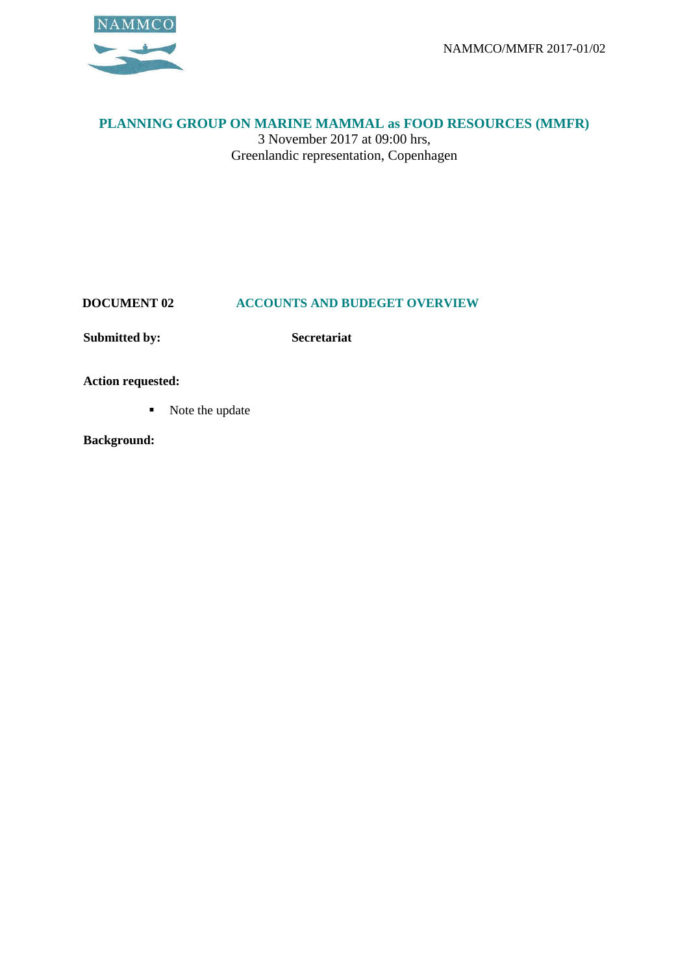

## **PLANNING GROUP ON MARINE MAMMAL as FOOD RESOURCES (MMFR)**

3 November 2017 at 09:00 hrs, Greenlandic representation, Copenhagen

## **DOCUMENT 02 ACCOUNTS AND BUDEGET OVERVIEW**

**Submitted by: Secretariat**

**Action requested:**

■ Note the update

**Background:**